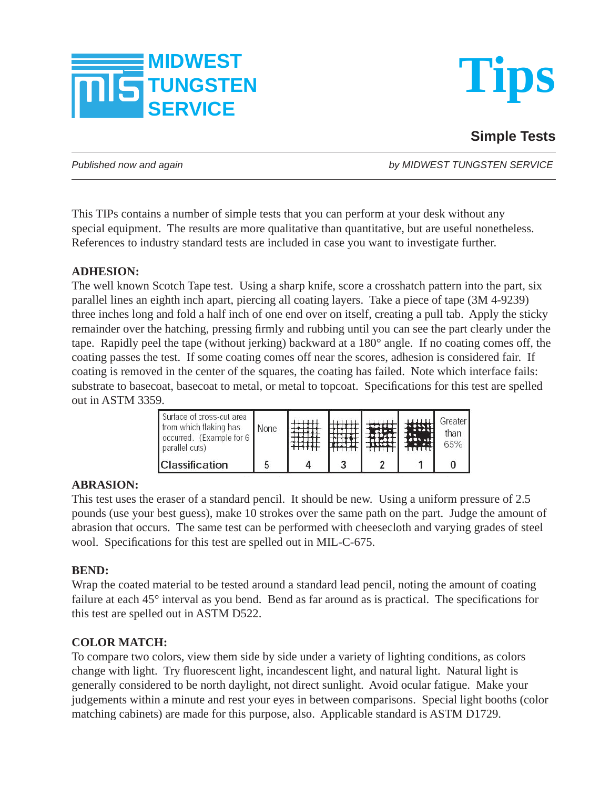



# **Simple Tests**

*Published now and again by MIDWEST TUNGSTEN SERVICE*

This TIPs contains a number of simple tests that you can perform at your desk without any special equipment. The results are more qualitative than quantitative, but are useful nonetheless. References to industry standard tests are included in case you want to investigate further.

# **ADHESION:**

The well known Scotch Tape test. Using a sharp knife, score a crosshatch pattern into the part, six parallel lines an eighth inch apart, piercing all coating layers. Take a piece of tape (3M 4-9239) three inches long and fold a half inch of one end over on itself, creating a pull tab. Apply the sticky remainder over the hatching, pressing firmly and rubbing until you can see the part clearly under the tape. Rapidly peel the tape (without jerking) backward at a 180° angle. If no coating comes off, the coating passes the test. If some coating comes off near the scores, adhesion is considered fair. If coating is removed in the center of the squares, the coating has failed. Note which interface fails: substrate to basecoat, basecoat to metal, or metal to topcoat. Specifications for this test are spelled out in ASTM 3359.

| Surface of cross-cut area<br>from which flaking has<br>occurred. (Example for 6)<br>parallel cuts) | Vone |  |  | Greater<br>than<br>65% |
|----------------------------------------------------------------------------------------------------|------|--|--|------------------------|
| <b>Classification</b>                                                                              | b.   |  |  |                        |

# **ABRASION:**

This test uses the eraser of a standard pencil. It should be new. Using a uniform pressure of 2.5 pounds (use your best guess), make 10 strokes over the same path on the part. Judge the amount of abrasion that occurs. The same test can be performed with cheesecloth and varying grades of steel wool. Specifications for this test are spelled out in MIL-C-675.

# **BEND:**

Wrap the coated material to be tested around a standard lead pencil, noting the amount of coating failure at each  $45^\circ$  interval as you bend. Bend as far around as is practical. The specifications for this test are spelled out in ASTM D522.

# **COLOR MATCH:**

To compare two colors, view them side by side under a variety of lighting conditions, as colors change with light. Try fluorescent light, incandescent light, and natural light. Natural light is generally considered to be north daylight, not direct sunlight. Avoid ocular fatigue. Make your judgements within a minute and rest your eyes in between comparisons. Special light booths (color matching cabinets) are made for this purpose, also. Applicable standard is ASTM D1729.